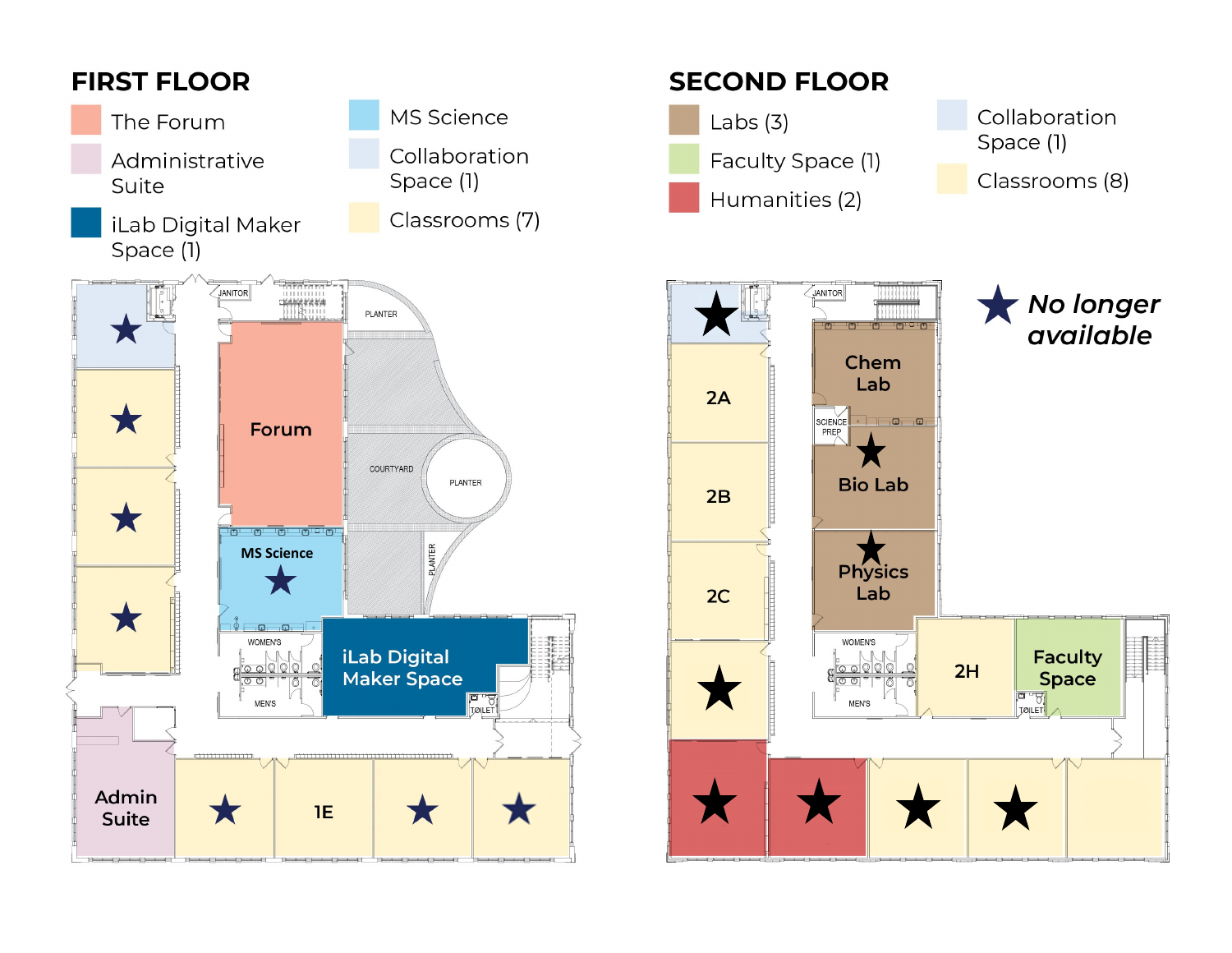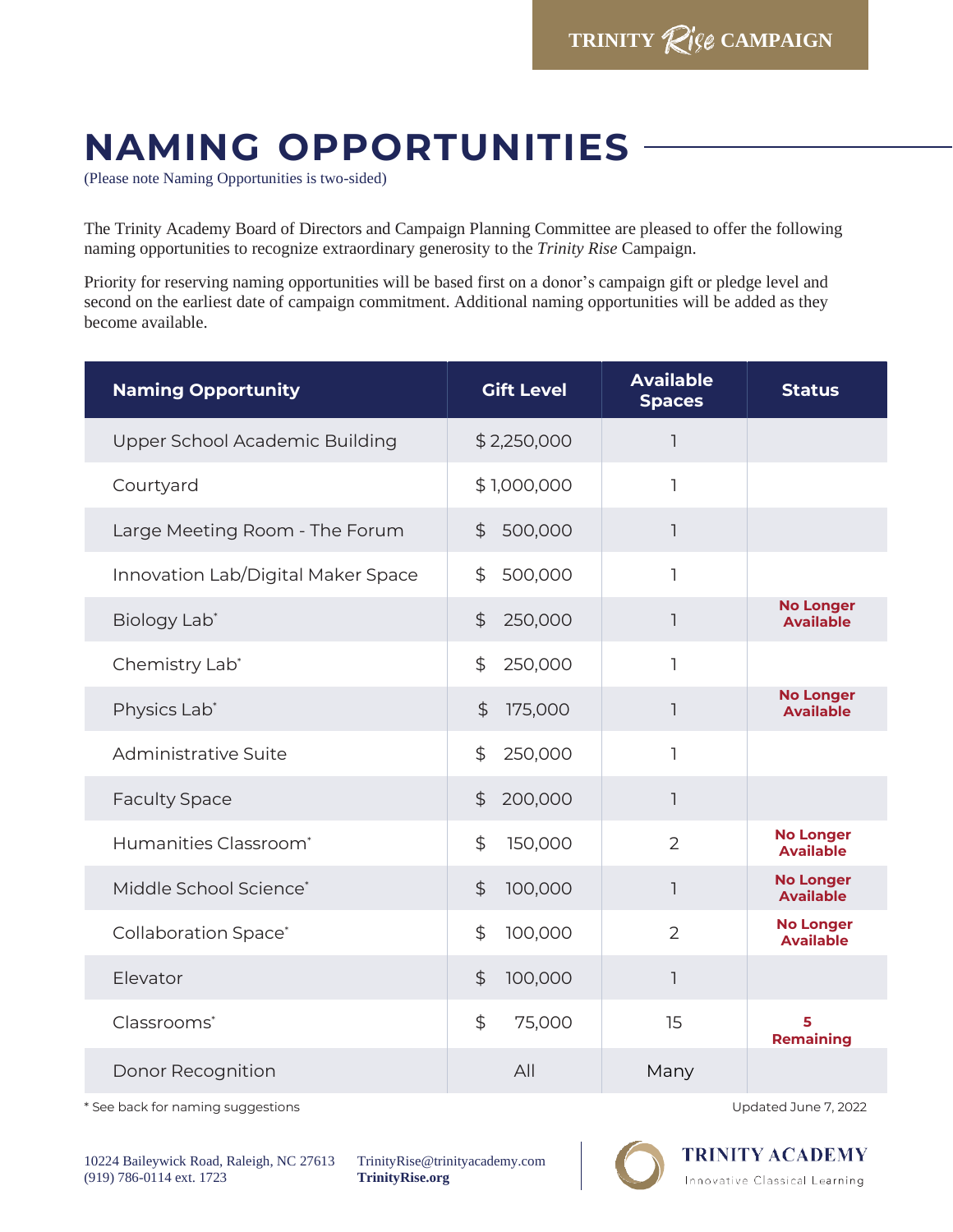## **NAMING OPPORTUNITIES**

(Please note Naming Opportunities is two-sided)

The Trinity Academy Board of Directors and Campaign Planning Committee are pleased to offer the following naming opportunities to recognize extraordinary generosity to the *Trinity Rise* Campaign.

Priority for reserving naming opportunities will be based first on a donor's campaign gift or pledge level and second on the earliest date of campaign commitment. Additional naming opportunities will be added as they become available.

| <b>Naming Opportunity</b>          | <b>Gift Level</b>               | <b>Available</b><br><b>Spaces</b> | <b>Status</b>                        |
|------------------------------------|---------------------------------|-----------------------------------|--------------------------------------|
| Upper School Academic Building     | \$2,250,000                     | ٦                                 |                                      |
| Courtyard                          | \$1,000,000                     | 1                                 |                                      |
| Large Meeting Room - The Forum     | $\frac{4}{3}$<br>500,000        | 1                                 |                                      |
| Innovation Lab/Digital Maker Space | 500,000<br>\$                   | ı                                 |                                      |
| Biology Lab*                       | $\ddot{\mathcal{L}}$<br>250,000 | 1                                 | <b>No Longer</b><br><b>Available</b> |
| Chemistry Lab*                     | \$<br>250,000                   | ٦                                 |                                      |
| Physics Lab*                       | $\ddot{\mathcal{L}}$<br>175,000 | 1                                 | <b>No Longer</b><br><b>Available</b> |
| Administrative Suite               | 250,000<br>\$                   | 1                                 |                                      |
| <b>Faculty Space</b>               | $\ddot{\mathcal{L}}$<br>200,000 | ı                                 |                                      |
| Humanities Classroom <sup>*</sup>  | \$<br>150,000                   | $\overline{2}$                    | <b>No Longer</b><br><b>Available</b> |
| Middle School Science*             | $\mathfrak{P}$<br>100,000       | 1                                 | <b>No Longer</b><br><b>Available</b> |
| <b>Collaboration Space*</b>        | $\mathfrak{P}$<br>100,000       | $\overline{2}$                    | <b>No Longer</b><br><b>Available</b> |
| Elevator                           | $\ddot{\mathcal{L}}$<br>100,000 | 1                                 |                                      |
| Classrooms*                        | \$<br>75,000                    | 15                                | 5<br><b>Remaining</b>                |
| Donor Recognition                  | All                             | Many                              |                                      |

\* See back for naming suggestions Updated June 7, 2022

10224 Baileywick Road, Raleigh, NC 27613 (919) 786-0114 ext. 1723

TrinityRise@trinityacademy.com **TrinityRise.org**